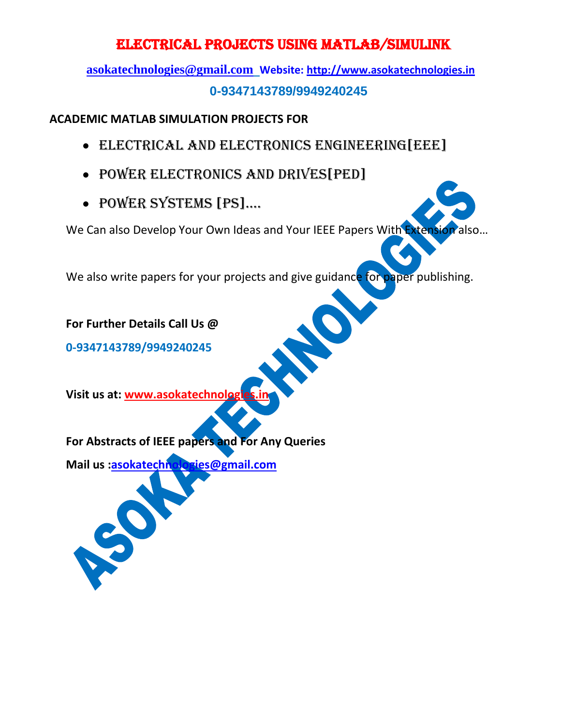**[asokatechnologies@gmail.com](mailto:asokatechnologies@gmail.com) Website: [http://www.asokatechnologies.in](http://www.asokatechnologies.in/) 0-9347143789/9949240245**

#### **ACADEMIC MATLAB SIMULATION PROJECTS FOR**

- ELECTRICAL AND ELECTRONICs ENGINEERING[EEE]
- POWER ELECTRONICS AND DRIVES[PED]
- POWER SYSTEMS [PS]....

We Can also Develop Your Own Ideas and Your IEEE Papers With Extension

We also write papers for your projects and give guidance for paper publishing.

**For Further Details Call Us @**

**0-9347143789/9949240245**

**Visit us at: www.asokatechnologies.in**

**For Abstracts of IEEE papers and For Any Queries**

**Mail us [:asokatechnologies@gmail.com](mailto:asokatechnologies@gmail.com)**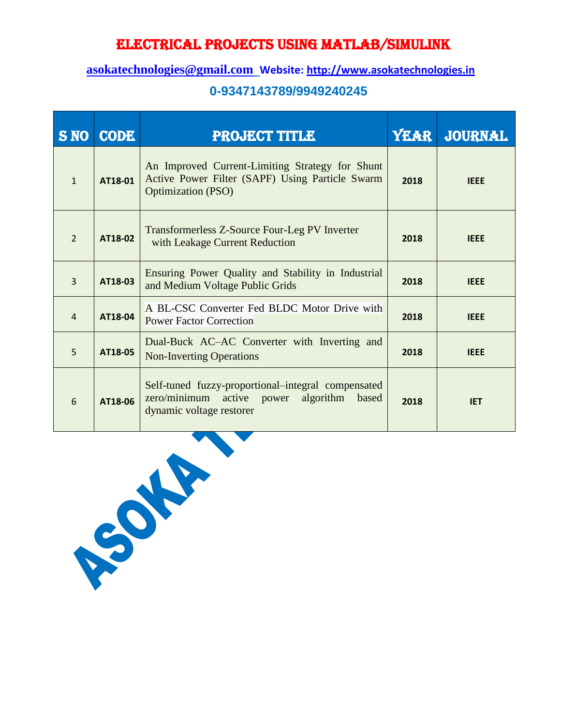### **[asokatechnologies@gmail.com](mailto:asokatechnologies@gmail.com) Website: [http://www.asokatechnologies.in](http://www.asokatechnologies.in/)**

| <b>S NO</b>    | <b>CODE</b> | <b>PROJECT TITLE</b>                                                                                                            |      | YEAR JOURNAL |
|----------------|-------------|---------------------------------------------------------------------------------------------------------------------------------|------|--------------|
| $\mathbf{1}$   | AT18-01     | An Improved Current-Limiting Strategy for Shunt<br>Active Power Filter (SAPF) Using Particle Swarm<br><b>Optimization (PSO)</b> | 2018 | <b>IEEE</b>  |
| $\overline{2}$ | AT18-02     | Transformerless Z-Source Four-Leg PV Inverter<br>with Leakage Current Reduction                                                 | 2018 | <b>IEEE</b>  |
| $\overline{3}$ | AT18-03     | Ensuring Power Quality and Stability in Industrial<br>and Medium Voltage Public Grids                                           | 2018 | <b>IEEE</b>  |
| $\overline{4}$ | AT18-04     | A BL-CSC Converter Fed BLDC Motor Drive with<br><b>Power Factor Correction</b>                                                  | 2018 | <b>IEEE</b>  |
| 5              | AT18-05     | Dual-Buck AC-AC Converter with Inverting and<br><b>Non-Inverting Operations</b>                                                 | 2018 | <b>IEEE</b>  |
| 6              | AT18-06     | Self-tuned fuzzy-proportional-integral compensated<br>zero/minimum active power algorithm based<br>dynamic voltage restorer     | 2018 | <b>IET</b>   |

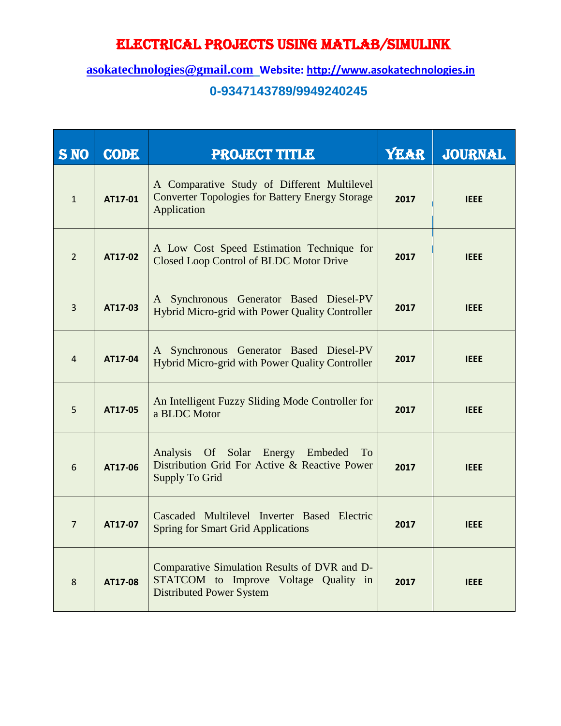| <b>S NO</b>     | <b>CODE</b> | <b>PROJECT TITLE</b>                                                                                                     | <b>YEAR</b> | <b>JOURNAL</b> |
|-----------------|-------------|--------------------------------------------------------------------------------------------------------------------------|-------------|----------------|
| $\mathbf{1}$    | AT17-01     | A Comparative Study of Different Multilevel<br><b>Converter Topologies for Battery Energy Storage</b><br>Application     | 2017        | <b>IEEE</b>    |
| $\overline{2}$  | AT17-02     | A Low Cost Speed Estimation Technique for<br>Closed Loop Control of BLDC Motor Drive                                     | 2017        | <b>IEEE</b>    |
| $\overline{3}$  | AT17-03     | A Synchronous Generator Based Diesel-PV<br>Hybrid Micro-grid with Power Quality Controller                               | 2017        | <b>IEEE</b>    |
| $\overline{4}$  | AT17-04     | A Synchronous Generator Based Diesel-PV<br>Hybrid Micro-grid with Power Quality Controller                               | 2017        | <b>IEEE</b>    |
| 5               | AT17-05     | An Intelligent Fuzzy Sliding Mode Controller for<br>a BLDC Motor                                                         | 2017        | <b>IEEE</b>    |
| $6\phantom{1}6$ | AT17-06     | Analysis Of Solar Energy Embeded To<br>Distribution Grid For Active & Reactive Power<br>Supply To Grid                   | 2017        | <b>IEEE</b>    |
| $\overline{7}$  | AT17-07     | Cascaded Multilevel Inverter Based Electric<br><b>Spring for Smart Grid Applications</b>                                 | 2017        | <b>IEEE</b>    |
| $\,8\,$         | AT17-08     | Comparative Simulation Results of DVR and D-<br>STATCOM to Improve Voltage Quality in<br><b>Distributed Power System</b> | 2017        | <b>IEEE</b>    |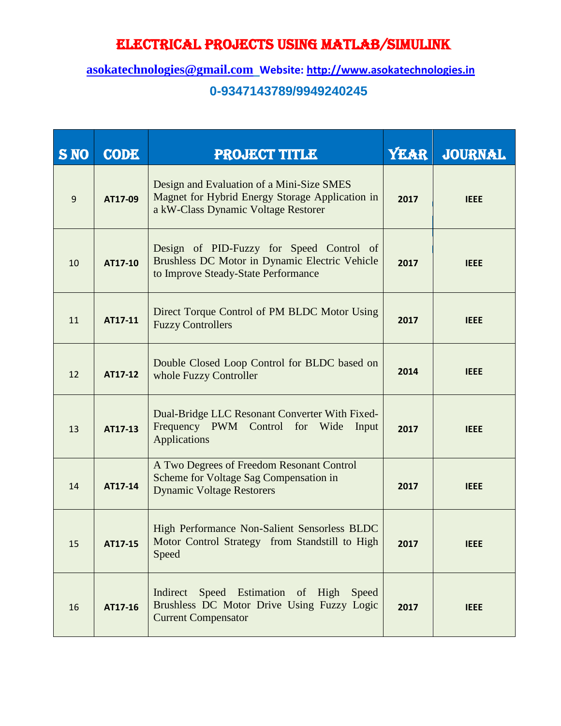| <b>S NO</b> | <b>CODE</b> | <b>PROJECT TITLE</b>                                                                                                                | <b>YEAR</b> | <b>JOURNAL</b> |
|-------------|-------------|-------------------------------------------------------------------------------------------------------------------------------------|-------------|----------------|
| $\mathsf g$ | AT17-09     | Design and Evaluation of a Mini-Size SMES<br>Magnet for Hybrid Energy Storage Application in<br>a kW-Class Dynamic Voltage Restorer | 2017        | <b>IEEE</b>    |
| 10          | AT17-10     | Design of PID-Fuzzy for Speed Control of<br>Brushless DC Motor in Dynamic Electric Vehicle<br>to Improve Steady-State Performance   | 2017        | <b>IEEE</b>    |
| 11          | AT17-11     | Direct Torque Control of PM BLDC Motor Using<br><b>Fuzzy Controllers</b>                                                            | 2017        | <b>IEEE</b>    |
| 12          | AT17-12     | Double Closed Loop Control for BLDC based on<br>whole Fuzzy Controller                                                              | 2014        | <b>IEEE</b>    |
| 13          | AT17-13     | Dual-Bridge LLC Resonant Converter With Fixed-<br>Frequency PWM Control for Wide<br>Input<br><b>Applications</b>                    | 2017        | <b>IEEE</b>    |
| 14          | AT17-14     | A Two Degrees of Freedom Resonant Control<br>Scheme for Voltage Sag Compensation in<br><b>Dynamic Voltage Restorers</b>             | 2017        | <b>IEEE</b>    |
| 15          | AT17-15     | High Performance Non-Salient Sensorless BLDC<br>Motor Control Strategy from Standstill to High<br>Speed                             | 2017        | <b>IEEE</b>    |
| 16          | AT17-16     | Indirect Speed Estimation of High Speed<br>Brushless DC Motor Drive Using Fuzzy Logic<br><b>Current Compensator</b>                 | 2017        | <b>IEEE</b>    |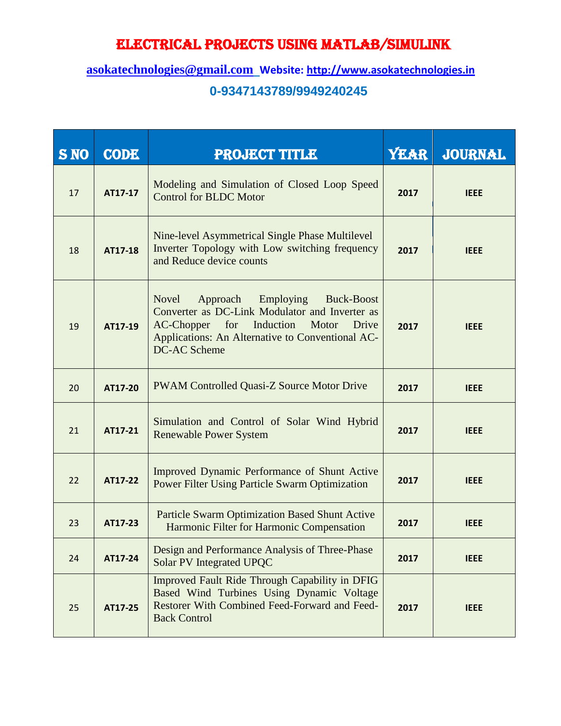| <b>S NO</b> | <b>CODE</b> | <b>PROJECT TITLE</b>                                                                                                                                                                                              | <b>YEAR</b> | <b>JOURNAL</b> |
|-------------|-------------|-------------------------------------------------------------------------------------------------------------------------------------------------------------------------------------------------------------------|-------------|----------------|
| 17          | AT17-17     | Modeling and Simulation of Closed Loop Speed<br><b>Control for BLDC Motor</b>                                                                                                                                     | 2017        | <b>IEEE</b>    |
| 18          | AT17-18     | Nine-level Asymmetrical Single Phase Multilevel<br>Inverter Topology with Low switching frequency<br>and Reduce device counts                                                                                     | 2017        | <b>IEEE</b>    |
| 19          | AT17-19     | <b>Novel</b><br>Approach Employing<br>Buck-Boost<br>Converter as DC-Link Modulator and Inverter as<br>AC-Chopper for Induction Motor<br>Drive<br>Applications: An Alternative to Conventional AC-<br>DC-AC Scheme | 2017        | <b>IEEE</b>    |
| 20          | AT17-20     | PWAM Controlled Quasi-Z Source Motor Drive                                                                                                                                                                        | 2017        | <b>IEEE</b>    |
| 21          | AT17-21     | Simulation and Control of Solar Wind Hybrid<br><b>Renewable Power System</b>                                                                                                                                      | 2017        | <b>IEEE</b>    |
| 22          | AT17-22     | Improved Dynamic Performance of Shunt Active<br><b>Power Filter Using Particle Swarm Optimization</b>                                                                                                             | 2017        | <b>IEEE</b>    |
| 23          | AT17-23     | <b>Particle Swarm Optimization Based Shunt Active</b><br>Harmonic Filter for Harmonic Compensation                                                                                                                | 2017        | <b>IEEE</b>    |
| 24          | AT17-24     | Design and Performance Analysis of Three-Phase<br><b>Solar PV Integrated UPQC</b>                                                                                                                                 | 2017        | <b>IEEE</b>    |
| 25          | AT17-25     | Improved Fault Ride Through Capability in DFIG<br>Based Wind Turbines Using Dynamic Voltage<br>Restorer With Combined Feed-Forward and Feed-<br><b>Back Control</b>                                               | 2017        | <b>IEEE</b>    |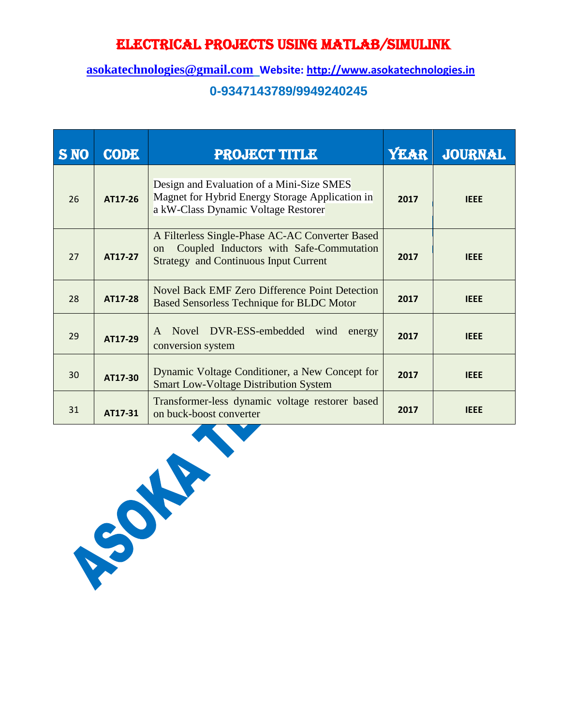| <b>S NO</b> | <b>CODE</b> | <b>PROJECT TITLE</b>                                                                                                                                        | <b>YEAR</b> | <b>JOURNAL</b> |
|-------------|-------------|-------------------------------------------------------------------------------------------------------------------------------------------------------------|-------------|----------------|
| 26          | AT17-26     | Design and Evaluation of a Mini-Size SMES<br>Magnet for Hybrid Energy Storage Application in<br>a kW-Class Dynamic Voltage Restorer                         | 2017        | <b>IEEE</b>    |
| 27          | AT17-27     | A Filterless Single-Phase AC-AC Converter Based<br>Coupled Inductors with Safe-Commutation<br><sub>on</sub><br><b>Strategy and Continuous Input Current</b> | 2017        | <b>IEEE</b>    |
| 28          | AT17-28     | Novel Back EMF Zero Difference Point Detection<br><b>Based Sensorless Technique for BLDC Motor</b>                                                          | 2017        | <b>IEEE</b>    |
| 29          | AT17-29     | A Novel DVR-ESS-embedded wind<br>energy<br>conversion system                                                                                                | 2017        | <b>IEEE</b>    |
| 30          | AT17-30     | Dynamic Voltage Conditioner, a New Concept for<br><b>Smart Low-Voltage Distribution System</b>                                                              | 2017        | <b>IEEE</b>    |
| 31          | AT17-31     | Transformer-less dynamic voltage restorer based<br>on buck-boost converter                                                                                  | 2017        | <b>IEEE</b>    |

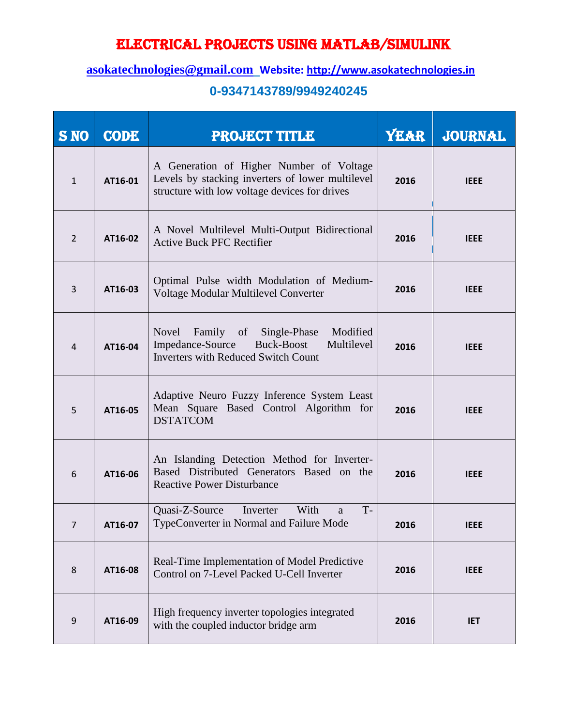### **[asokatechnologies@gmail.com](mailto:asokatechnologies@gmail.com) Website: [http://www.asokatechnologies.in](http://www.asokatechnologies.in/)**

| <b>S NO</b>      | <b>CODE</b> | <b>PROJECT TITLE</b>                                                                                                                                | <b>YEAR</b> | <b>JOURNAL</b> |
|------------------|-------------|-----------------------------------------------------------------------------------------------------------------------------------------------------|-------------|----------------|
| $\mathbf{1}$     | AT16-01     | A Generation of Higher Number of Voltage<br>Levels by stacking inverters of lower multilevel<br>structure with low voltage devices for drives       | 2016        | <b>IEEE</b>    |
| $\overline{2}$   | AT16-02     | A Novel Multilevel Multi-Output Bidirectional<br><b>Active Buck PFC Rectifier</b>                                                                   | 2016        | <b>IEEE</b>    |
| $\overline{3}$   | AT16-03     | Optimal Pulse width Modulation of Medium-<br>Voltage Modular Multilevel Converter                                                                   | 2016        | <b>IEEE</b>    |
| 4                | AT16-04     | <b>Novel</b><br>Family of<br>Modified<br>Single-Phase<br>Impedance-Source<br>Multilevel<br>Buck-Boost<br><b>Inverters with Reduced Switch Count</b> | 2016        | <b>IEEE</b>    |
| 5                | AT16-05     | Adaptive Neuro Fuzzy Inference System Least<br>Mean Square Based Control Algorithm for<br><b>DSTATCOM</b>                                           | 2016        | <b>IEEE</b>    |
| 6                | AT16-06     | An Islanding Detection Method for Inverter-<br>Based Distributed Generators Based on the<br><b>Reactive Power Disturbance</b>                       | 2016        | <b>IEEE</b>    |
| $\overline{7}$   | AT16-07     | Quasi-Z-Source<br>With<br>$T -$<br>Inverter<br>a<br>TypeConverter in Normal and Failure Mode                                                        | 2016        | <b>IFFF</b>    |
| 8                | AT16-08     | Real-Time Implementation of Model Predictive<br>Control on 7-Level Packed U-Cell Inverter                                                           | 2016        | <b>IEEE</b>    |
| $\boldsymbol{9}$ | AT16-09     | High frequency inverter topologies integrated<br>with the coupled inductor bridge arm                                                               | 2016        | <b>IET</b>     |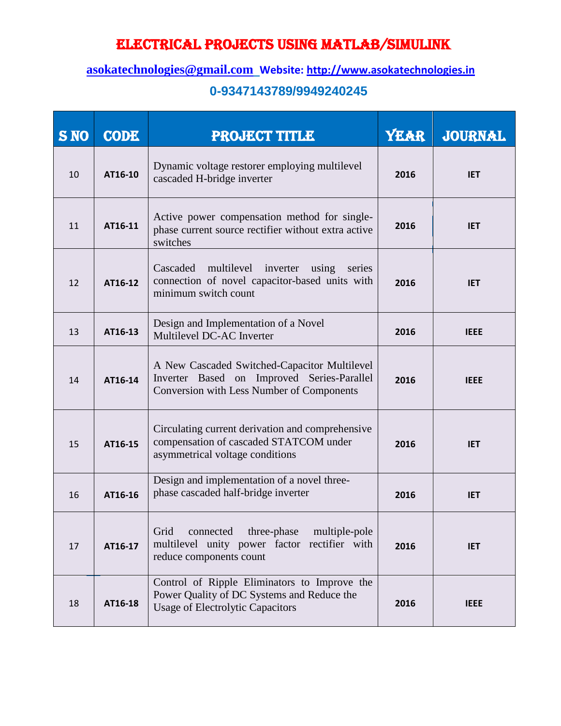### **[asokatechnologies@gmail.com](mailto:asokatechnologies@gmail.com) Website: [http://www.asokatechnologies.in](http://www.asokatechnologies.in/)**

| <b>S NO</b> | <b>CODE</b> | <b>PROJECT TITLE</b>                                                                                                                    | <b>YEAR</b> | <b>JOURNAL</b> |
|-------------|-------------|-----------------------------------------------------------------------------------------------------------------------------------------|-------------|----------------|
| 10          | AT16-10     | Dynamic voltage restorer employing multilevel<br>cascaded H-bridge inverter                                                             | 2016        | <b>IET</b>     |
| 11          | AT16-11     | Active power compensation method for single-<br>phase current source rectifier without extra active<br>switches                         | 2016        | <b>IET</b>     |
| 12          | AT16-12     | Cascaded multilevel inverter<br>using series<br>connection of novel capacitor-based units with<br>minimum switch count                  | 2016        | <b>IET</b>     |
| 13          | AT16-13     | Design and Implementation of a Novel<br>Multilevel DC-AC Inverter                                                                       | 2016        | <b>IEEE</b>    |
| 14          | AT16-14     | A New Cascaded Switched-Capacitor Multilevel<br>Inverter Based on Improved Series-Parallel<br>Conversion with Less Number of Components | 2016        | <b>IEEE</b>    |
| 15          | AT16-15     | Circulating current derivation and comprehensive<br>compensation of cascaded STATCOM under<br>asymmetrical voltage conditions           | 2016        | <b>IET</b>     |
| 16          | AT16-16     | Design and implementation of a novel three-<br>phase cascaded half-bridge inverter                                                      | 2016        | <b>IET</b>     |
| 17          | AT16-17     | three-phase<br>multiple-pole<br>Grid<br>connected<br>multilevel unity power factor rectifier with<br>reduce components count            | 2016        | <b>IET</b>     |
| 18          | AT16-18     | Control of Ripple Eliminators to Improve the<br>Power Quality of DC Systems and Reduce the<br><b>Usage of Electrolytic Capacitors</b>   | 2016        | <b>IEEE</b>    |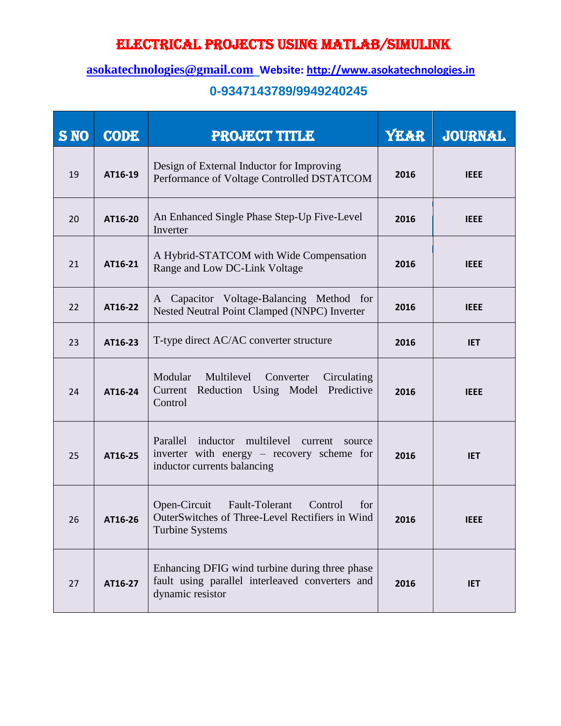### **[asokatechnologies@gmail.com](mailto:asokatechnologies@gmail.com) Website: [http://www.asokatechnologies.in](http://www.asokatechnologies.in/)**

| <b>S NO</b> | <b>CODE</b> | <b>PROJECT TITLE</b>                                                                                                     | <b>YEAR</b> | <b>JOURNAL</b> |
|-------------|-------------|--------------------------------------------------------------------------------------------------------------------------|-------------|----------------|
| 19          | AT16-19     | Design of External Inductor for Improving<br>Performance of Voltage Controlled DSTATCOM                                  | 2016        | <b>IEEE</b>    |
| 20          | AT16-20     | An Enhanced Single Phase Step-Up Five-Level<br>Inverter                                                                  | 2016        | <b>IEEE</b>    |
| 21          | AT16-21     | A Hybrid-STATCOM with Wide Compensation<br>Range and Low DC-Link Voltage                                                 | 2016        | <b>IEEE</b>    |
| 22          | AT16-22     | A Capacitor Voltage-Balancing Method for<br>Nested Neutral Point Clamped (NNPC) Inverter                                 | 2016        | <b>IEEE</b>    |
| 23          | AT16-23     | T-type direct AC/AC converter structure                                                                                  | 2016        | <b>IET</b>     |
| 24          | AT16-24     | Modular<br>Multilevel<br>Converter<br>Circulating<br>Current Reduction Using Model<br>Predictive<br>Control              | 2016        | <b>IEEE</b>    |
| 25          | AT16-25     | Parallel inductor multilevel current source<br>inverter with energy – recovery scheme for<br>inductor currents balancing | 2016        | <b>IET</b>     |
| 26          | AT16-26     | Open-Circuit<br>Fault-Tolerant Control<br>for<br>OuterSwitches of Three-Level Rectifiers in Wind<br>Turbine Systems      | 2016        | <b>IEEE</b>    |
| 27          | AT16-27     | Enhancing DFIG wind turbine during three phase<br>fault using parallel interleaved converters and<br>dynamic resistor    | 2016        | <b>IET</b>     |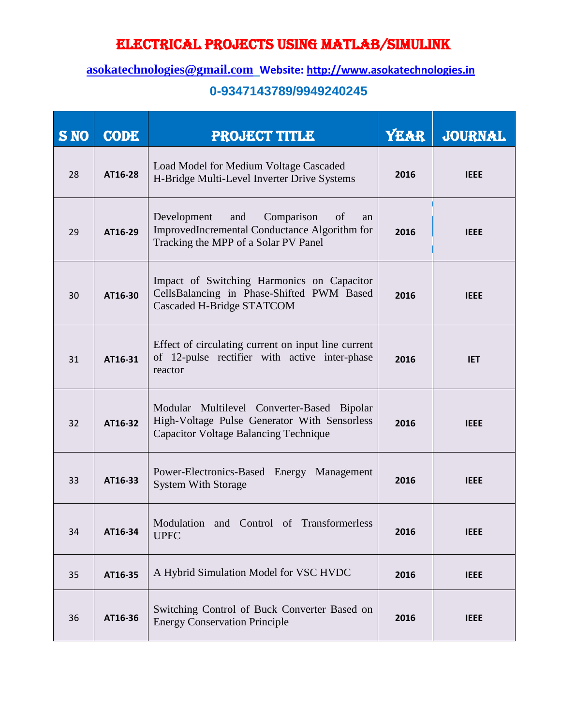#### **[asokatechnologies@gmail.com](mailto:asokatechnologies@gmail.com) Website: [http://www.asokatechnologies.in](http://www.asokatechnologies.in/)**

| <b>S NO</b> | <b>CODE</b> | <b>PROJECT TITLE</b>                                                                                                                       | <b>YEAR</b> | <b>JOURNAL</b> |
|-------------|-------------|--------------------------------------------------------------------------------------------------------------------------------------------|-------------|----------------|
| 28          | AT16-28     | Load Model for Medium Voltage Cascaded<br>H-Bridge Multi-Level Inverter Drive Systems                                                      | 2016        | <b>IEEE</b>    |
| 29          | AT16-29     | Comparison<br>Development<br>and<br>of<br>an<br>ImprovedIncremental Conductance Algorithm for<br>Tracking the MPP of a Solar PV Panel      | 2016        | <b>IEEE</b>    |
| 30          | AT16-30     | Impact of Switching Harmonics on Capacitor<br>CellsBalancing in Phase-Shifted PWM Based<br>Cascaded H-Bridge STATCOM                       | 2016        | <b>IEEE</b>    |
| 31          | AT16-31     | Effect of circulating current on input line current<br>of 12-pulse rectifier with active inter-phase<br>reactor                            | 2016        | <b>IET</b>     |
| 32          | AT16-32     | Modular Multilevel Converter-Based Bipolar<br>High-Voltage Pulse Generator With Sensorless<br><b>Capacitor Voltage Balancing Technique</b> | 2016        | <b>IEEE</b>    |
| 33          | AT16-33     | Power-Electronics-Based Energy Management<br><b>System With Storage</b>                                                                    | 2016        | <b>IEEE</b>    |
| 34          | AT16-34     | Modulation and Control of Transformerless<br><b>UPFC</b>                                                                                   | 2016        | <b>IEEE</b>    |
| 35          | AT16-35     | A Hybrid Simulation Model for VSC HVDC                                                                                                     | 2016        | <b>IEEE</b>    |
| 36          | AT16-36     | Switching Control of Buck Converter Based on<br><b>Energy Conservation Principle</b>                                                       | 2016        | <b>IEEE</b>    |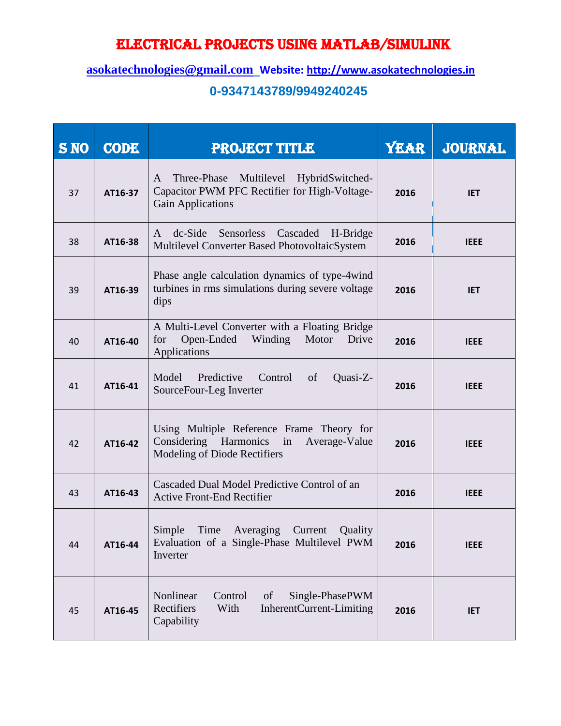| <b>S NO</b> | <b>CODE</b> | <b>PROJECT TITLE</b>                                                                                                      | <b>YEAR</b> | <b>JOURNAL</b> |
|-------------|-------------|---------------------------------------------------------------------------------------------------------------------------|-------------|----------------|
| 37          | AT16-37     | Three-Phase Multilevel HybridSwitched-<br>A<br>Capacitor PWM PFC Rectifier for High-Voltage-<br><b>Gain Applications</b>  | 2016        | <b>IET</b>     |
| 38          | AT16-38     | $dc-Side$<br>Cascaded H-Bridge<br>Sensorless<br>A<br>Multilevel Converter Based PhotovoltaicSystem                        | 2016        | <b>IEEE</b>    |
| 39          | AT16-39     | Phase angle calculation dynamics of type-4wind<br>turbines in rms simulations during severe voltage<br>dips               | 2016        | <b>IET</b>     |
| 40          | AT16-40     | A Multi-Level Converter with a Floating Bridge<br>Open-Ended<br>Winding<br>Motor<br>Drive<br>for<br>Applications          | 2016        | <b>IEEE</b>    |
| 41          | AT16-41     | Predictive<br>Model<br>Control<br>of<br>Quasi-Z-<br>SourceFour-Leg Inverter                                               | 2016        | <b>IEEE</b>    |
| 42          | AT16-42     | Using Multiple Reference Frame Theory for<br>Considering Harmonics<br>in<br>Average-Value<br>Modeling of Diode Rectifiers | 2016        | <b>IEEE</b>    |
| 43          | AT16-43     | Cascaded Dual Model Predictive Control of an<br><b>Active Front-End Rectifier</b>                                         | 2016        | <b>IEEE</b>    |
| 44          | AT16-44     | Simple<br>Time<br>Averaging<br>Quality<br>Current<br>Evaluation of a Single-Phase Multilevel PWM<br>Inverter              | 2016        | <b>IEEE</b>    |
| 45          | AT16-45     | Nonlinear<br>Control<br>Single-PhasePWM<br>of<br>Rectifiers<br>With<br>InherentCurrent-Limiting<br>Capability             | 2016        | <b>IET</b>     |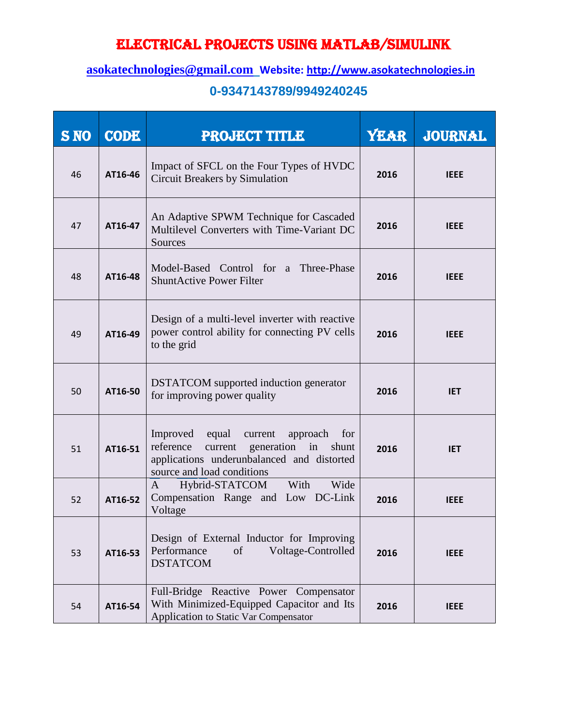### **[asokatechnologies@gmail.com](mailto:asokatechnologies@gmail.com) Website: [http://www.asokatechnologies.in](http://www.asokatechnologies.in/)**

| <b>S NO</b> | <b>CODE</b> | <b>PROJECT TITLE</b>                                                                                                                                                 | <b>YEAR</b> | <b>JOURNAL</b> |
|-------------|-------------|----------------------------------------------------------------------------------------------------------------------------------------------------------------------|-------------|----------------|
| 46          | AT16-46     | Impact of SFCL on the Four Types of HVDC<br><b>Circuit Breakers by Simulation</b>                                                                                    | 2016        | <b>IEEE</b>    |
| 47          | AT16-47     | An Adaptive SPWM Technique for Cascaded<br>Multilevel Converters with Time-Variant DC<br>Sources                                                                     | 2016        | <b>IEEE</b>    |
| 48          | AT16-48     | Model-Based Control for a Three-Phase<br><b>ShuntActive Power Filter</b>                                                                                             | 2016        | <b>IEEE</b>    |
| 49          | AT16-49     | Design of a multi-level inverter with reactive<br>power control ability for connecting PV cells<br>to the grid                                                       | 2016        | <b>IEEE</b>    |
| 50          | AT16-50     | <b>DSTATCOM</b> supported induction generator<br>for improving power quality                                                                                         | 2016        | <b>IET</b>     |
| 51          | AT16-51     | Improved equal current<br>approach<br>for<br>reference<br>current generation in<br>shunt<br>applications underunbalanced and distorted<br>source and load conditions | 2016        | <b>IET</b>     |
| 52          | AT16-52     | Hybrid-STATCOM<br>Wide<br>With<br>A<br>Compensation Range and Low DC-Link<br>Voltage                                                                                 | 2016        | <b>IEEE</b>    |
| 53          | AT16-53     | Design of External Inductor for Improving<br>Performance<br>Voltage-Controlled<br>of<br><b>DSTATCOM</b>                                                              | 2016        | <b>IEEE</b>    |
| 54          | AT16-54     | Full-Bridge Reactive Power Compensator<br>With Minimized-Equipped Capacitor and Its<br>Application to Static Var Compensator                                         | 2016        | <b>IEEE</b>    |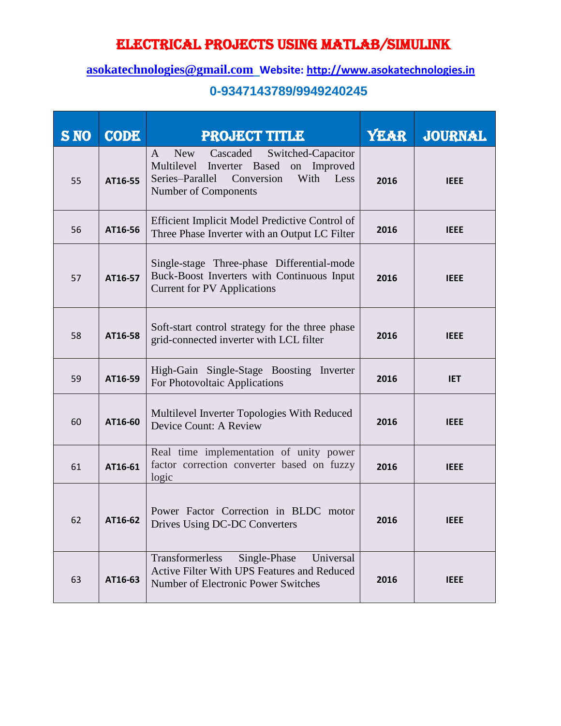### **[asokatechnologies@gmail.com](mailto:asokatechnologies@gmail.com) Website: [http://www.asokatechnologies.in](http://www.asokatechnologies.in/)**

| <b>S NO</b> | <b>CODE</b> | <b>PROJECT TITLE</b>                                                                                                                                                   | <b>YEAR</b> | <b>JOURNAL</b> |
|-------------|-------------|------------------------------------------------------------------------------------------------------------------------------------------------------------------------|-------------|----------------|
| 55          | AT16-55     | <b>New</b><br>Cascaded<br>A<br>Switched-Capacitor<br>Multilevel Inverter Based<br>on Improved<br>Conversion<br>With<br>Less<br>Series-Parallel<br>Number of Components | 2016        | <b>IEEE</b>    |
| 56          | AT16-56     | Efficient Implicit Model Predictive Control of<br>Three Phase Inverter with an Output LC Filter                                                                        | 2016        | <b>IEEE</b>    |
| 57          | AT16-57     | Single-stage Three-phase Differential-mode<br>Buck-Boost Inverters with Continuous Input<br><b>Current for PV Applications</b>                                         | 2016        | <b>IEEE</b>    |
| 58          | AT16-58     | Soft-start control strategy for the three phase<br>grid-connected inverter with LCL filter                                                                             | 2016        | <b>IEEE</b>    |
| 59          | AT16-59     | High-Gain Single-Stage Boosting Inverter<br>For Photovoltaic Applications                                                                                              | 2016        | <b>IET</b>     |
| 60          | AT16-60     | Multilevel Inverter Topologies With Reduced<br>Device Count: A Review                                                                                                  | 2016        | <b>IEEE</b>    |
| 61          | AT16-61     | Real time implementation of unity power<br>factor correction converter based on fuzzy<br>logic                                                                         | 2016        | <b>IEEE</b>    |
| 62          | AT16-62     | Power Factor Correction in BLDC motor<br>Drives Using DC-DC Converters                                                                                                 | 2016        | <b>IEEE</b>    |
| 63          | AT16-63     | Transformerless<br>Single-Phase<br>Universal<br>Active Filter With UPS Features and Reduced<br>Number of Electronic Power Switches                                     | 2016        | <b>IEEE</b>    |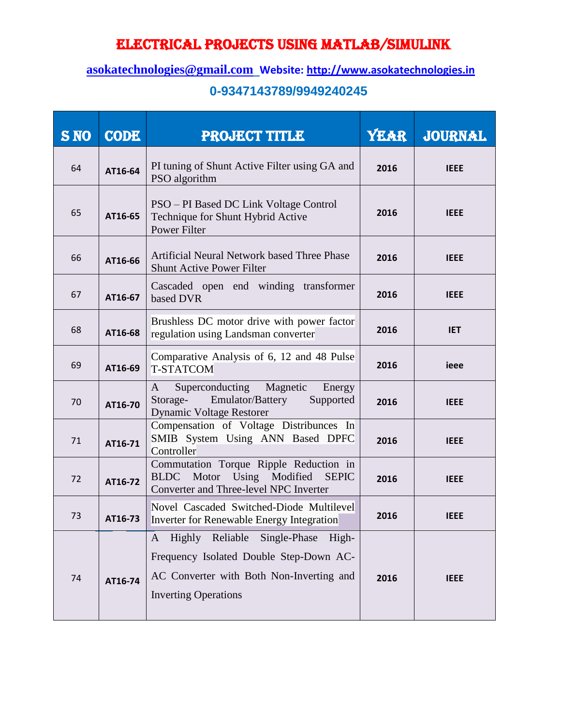### **[asokatechnologies@gmail.com](mailto:asokatechnologies@gmail.com) Website: [http://www.asokatechnologies.in](http://www.asokatechnologies.in/)**

| <b>S NO</b> | <b>CODE</b> | <b>PROJECT TITLE</b>                                                                                                                                          | <b>YEAR</b> | JOURNAL     |
|-------------|-------------|---------------------------------------------------------------------------------------------------------------------------------------------------------------|-------------|-------------|
| 64          | AT16-64     | PI tuning of Shunt Active Filter using GA and<br>PSO algorithm                                                                                                | 2016        | <b>IEEE</b> |
| 65          | AT16-65     | PSO – PI Based DC Link Voltage Control<br>Technique for Shunt Hybrid Active<br><b>Power Filter</b>                                                            | 2016        | <b>IEEE</b> |
| 66          | AT16-66     | Artificial Neural Network based Three Phase<br><b>Shunt Active Power Filter</b>                                                                               | 2016        | <b>IEEE</b> |
| 67          | AT16-67     | Cascaded open end winding transformer<br>based DVR                                                                                                            | 2016        | <b>IEEE</b> |
| 68          | AT16-68     | Brushless DC motor drive with power factor<br>regulation using Landsman converter                                                                             | 2016        | <b>IET</b>  |
| 69          | AT16-69     | Comparative Analysis of 6, 12 and 48 Pulse<br><b>T-STATCOM</b>                                                                                                | 2016        | ieee        |
| 70          | AT16-70     | Superconducting Magnetic<br>Energy<br>A<br>Emulator/Battery<br>Storage-<br>Supported<br><b>Dynamic Voltage Restorer</b>                                       | 2016        | <b>IEEE</b> |
| 71          | AT16-71     | Compensation of Voltage Distribunces In<br>SMIB System Using ANN Based DPFC<br>Controller                                                                     | 2016        | <b>IEEE</b> |
| 72          | AT16-72     | Commutation Torque Ripple Reduction in<br>Motor Using Modified<br><b>BLDC</b><br><b>SEPIC</b><br>Converter and Three-level NPC Inverter                       | 2016        | <b>IEEE</b> |
| 73          | AT16-73     | Novel Cascaded Switched-Diode Multilevel<br>Inverter for Renewable Energy Integration                                                                         | 2016        | <b>IEEE</b> |
| 74          | AT16-74     | Highly Reliable Single-Phase High-<br>A<br>Frequency Isolated Double Step-Down AC-<br>AC Converter with Both Non-Inverting and<br><b>Inverting Operations</b> | 2016        | <b>IEEE</b> |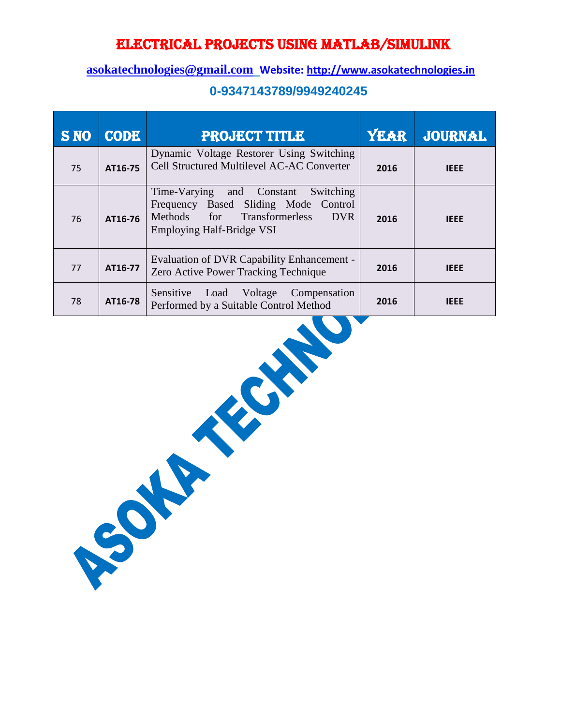#### **[asokatechnologies@gmail.com](mailto:asokatechnologies@gmail.com) Website: [http://www.asokatechnologies.in](http://www.asokatechnologies.in/)**

| <b>S NO</b> | <b>CODE</b> | <b>PROJECT TITLE</b>                                                                                                                                            | <b>YEAR</b> | <b>JOURNAL</b> |
|-------------|-------------|-----------------------------------------------------------------------------------------------------------------------------------------------------------------|-------------|----------------|
| 75          | AT16-75     | Dynamic Voltage Restorer Using Switching<br>Cell Structured Multilevel AC-AC Converter                                                                          | 2016        | <b>IEEE</b>    |
| 76          | AT16-76     | Time-Varying and Constant<br>Switching<br>Frequency Based Sliding Mode Control<br>Methods for Transformerless<br><b>DVR</b><br><b>Employing Half-Bridge VSI</b> | 2016        | <b>IEEE</b>    |
| 77          | AT16-77     | Evaluation of DVR Capability Enhancement -<br>Zero Active Power Tracking Technique                                                                              | 2016        | <b>IEEE</b>    |
| 78          | AT16-78     | Sensitive<br>Load<br>Voltage<br>Compensation<br>Performed by a Suitable Control Method                                                                          | 2016        | <b>IEEE</b>    |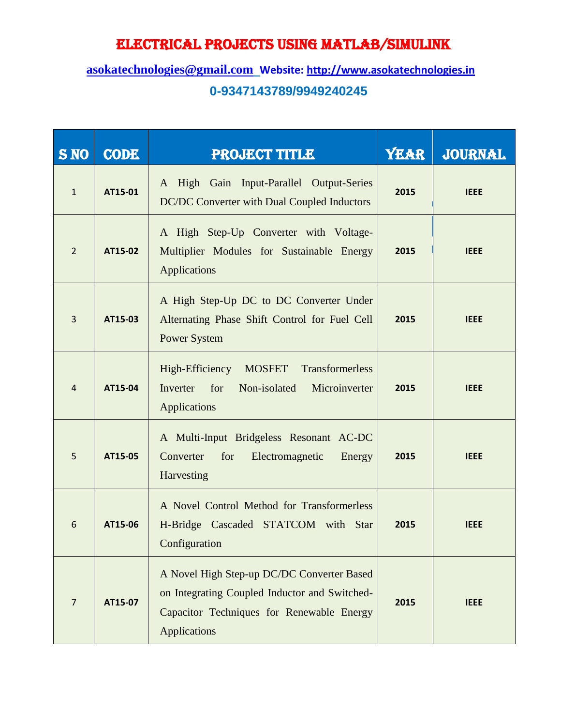| <b>S NO</b>    | <b>CODE</b> | <b>PROJECT TITLE</b>                                                                                                                                            | <b>YEAR</b> | <b>JOURNAL</b> |
|----------------|-------------|-----------------------------------------------------------------------------------------------------------------------------------------------------------------|-------------|----------------|
| $\mathbf{1}$   | AT15-01     | A High Gain Input-Parallel Output-Series<br>DC/DC Converter with Dual Coupled Inductors                                                                         | 2015        | <b>IEEE</b>    |
| $\overline{2}$ | AT15-02     | A High Step-Up Converter with Voltage-<br>Multiplier Modules for Sustainable Energy<br>Applications                                                             | 2015        | <b>IEEE</b>    |
| $\overline{3}$ | AT15-03     | A High Step-Up DC to DC Converter Under<br>Alternating Phase Shift Control for Fuel Cell<br><b>Power System</b>                                                 | 2015        | <b>IEEE</b>    |
| $\overline{4}$ | AT15-04     | High-Efficiency<br>Transformerless<br><b>MOSFET</b><br>Inverter<br>for<br>Non-isolated<br>Microinverter<br>Applications                                         | 2015        | <b>IEEE</b>    |
| 5              | AT15-05     | A Multi-Input Bridgeless Resonant AC-DC<br>Converter<br>for<br>Electromagnetic<br>Energy<br>Harvesting                                                          | 2015        | <b>IEEE</b>    |
| 6              | AT15-06     | A Novel Control Method for Transformerless<br>H-Bridge Cascaded STATCOM with Star<br>Configuration                                                              | 2015        | <b>IEEE</b>    |
| $\overline{7}$ | AT15-07     | A Novel High Step-up DC/DC Converter Based<br>on Integrating Coupled Inductor and Switched-<br>Capacitor Techniques for Renewable Energy<br><b>Applications</b> | 2015        | <b>IEEE</b>    |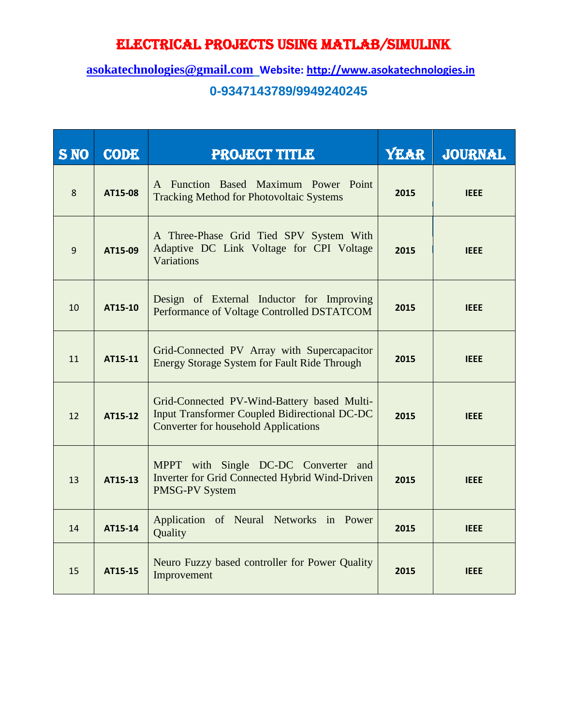| <b>S NO</b>      | <b>CODE</b> | <b>PROJECT TITLE</b>                                                                                                                               | <b>YEAR</b> | <b>JOURNAL</b> |
|------------------|-------------|----------------------------------------------------------------------------------------------------------------------------------------------------|-------------|----------------|
| 8                | AT15-08     | A Function Based Maximum Power Point<br><b>Tracking Method for Photovoltaic Systems</b>                                                            | 2015        | <b>IEEE</b>    |
| $\boldsymbol{9}$ | AT15-09     | A Three-Phase Grid Tied SPV System With<br>Adaptive DC Link Voltage for CPI Voltage<br>Variations                                                  | 2015        | <b>IEEE</b>    |
| 10               | AT15-10     | Design of External Inductor for Improving<br>Performance of Voltage Controlled DSTATCOM                                                            | 2015        | <b>IEEE</b>    |
| 11               | AT15-11     | Grid-Connected PV Array with Supercapacitor<br><b>Energy Storage System for Fault Ride Through</b>                                                 | 2015        | <b>IEEE</b>    |
| 12               | AT15-12     | Grid-Connected PV-Wind-Battery based Multi-<br><b>Input Transformer Coupled Bidirectional DC-DC</b><br><b>Converter for household Applications</b> | 2015        | <b>IEEE</b>    |
| 13               | AT15-13     | MPPT with Single DC-DC Converter and<br>Inverter for Grid Connected Hybrid Wind-Driven<br><b>PMSG-PV System</b>                                    | 2015        | <b>IEEE</b>    |
| 14               | AT15-14     | Application of Neural Networks in Power<br>Quality                                                                                                 | 2015        | <b>IEEE</b>    |
| 15               | AT15-15     | Neuro Fuzzy based controller for Power Quality<br>Improvement                                                                                      | 2015        | <b>IEEE</b>    |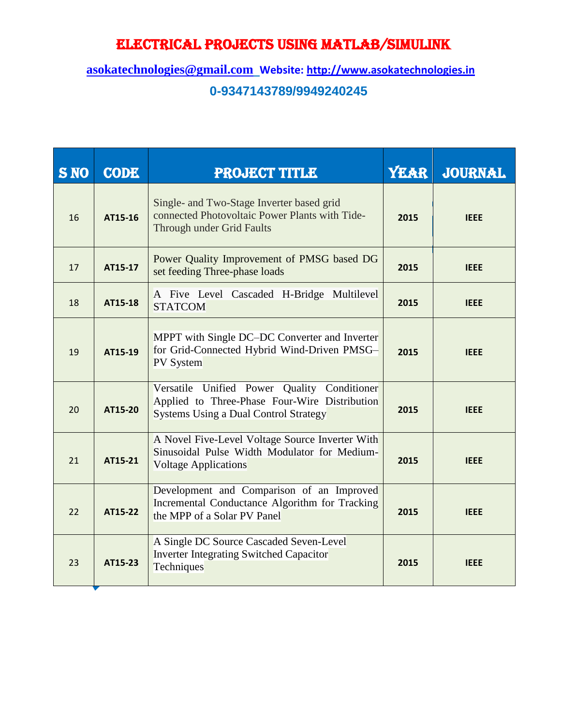| <b>S NO</b> | <b>CODE</b> | <b>PROJECT TITLE</b>                                                                                                                         | <b>YEAR</b> | <b>JOURNAL</b> |
|-------------|-------------|----------------------------------------------------------------------------------------------------------------------------------------------|-------------|----------------|
| 16          | AT15-16     | Single- and Two-Stage Inverter based grid<br>connected Photovoltaic Power Plants with Tide-<br>Through under Grid Faults                     | 2015        | <b>IEEE</b>    |
| 17          | AT15-17     | Power Quality Improvement of PMSG based DG<br>set feeding Three-phase loads                                                                  | 2015        | <b>IEEE</b>    |
| 18          | AT15-18     | A Five Level Cascaded H-Bridge Multilevel<br><b>STATCOM</b>                                                                                  | 2015        | <b>IEEE</b>    |
| 19          | AT15-19     | MPPT with Single DC-DC Converter and Inverter<br>for Grid-Connected Hybrid Wind-Driven PMSG-<br><b>PV</b> System                             | 2015        | <b>IEEE</b>    |
| 20          | AT15-20     | Versatile Unified Power Quality Conditioner<br>Applied to Three-Phase Four-Wire Distribution<br><b>Systems Using a Dual Control Strategy</b> | 2015        | <b>IEEE</b>    |
| 21          | AT15-21     | A Novel Five-Level Voltage Source Inverter With<br>Sinusoidal Pulse Width Modulator for Medium-<br><b>Voltage Applications</b>               | 2015        | <b>IEEE</b>    |
| 22          | AT15-22     | Development and Comparison of an Improved<br>Incremental Conductance Algorithm for Tracking<br>the MPP of a Solar PV Panel                   | 2015        | <b>IEEE</b>    |
| 23          | AT15-23     | A Single DC Source Cascaded Seven-Level<br><b>Inverter Integrating Switched Capacitor</b><br>Techniques                                      | 2015        | <b>IEEE</b>    |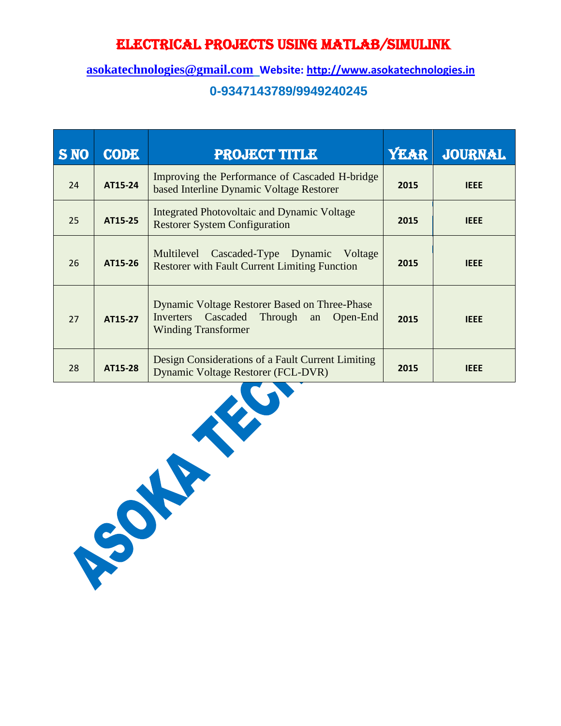| <b>S NO</b> | <b>CODE</b> | <b>PROJECT TITLE</b>                                                                                                               | <b>YEAR</b> | <b>JOURNAL</b> |
|-------------|-------------|------------------------------------------------------------------------------------------------------------------------------------|-------------|----------------|
| 24          | AT15-24     | Improving the Performance of Cascaded H-bridge<br>based Interline Dynamic Voltage Restorer                                         | 2015        | <b>IEEE</b>    |
| 25          | AT15-25     | Integrated Photovoltaic and Dynamic Voltage<br><b>Restorer System Configuration</b>                                                | 2015        | <b>IEEE</b>    |
| 26          | AT15-26     | Multilevel Cascaded-Type Dynamic Voltage<br><b>Restorer with Fault Current Limiting Function</b>                                   | 2015        | <b>IEEE</b>    |
| 27          | AT15-27     | <b>Dynamic Voltage Restorer Based on Three-Phase</b><br>Cascaded Through an<br>Open-End<br>Inverters<br><b>Winding Transformer</b> | 2015        | <b>IEEE</b>    |
| 28          | AT15-28     | Design Considerations of a Fault Current Limiting<br>Dynamic Voltage Restorer (FCL-DVR)                                            | 2015        | <b>IEEE</b>    |

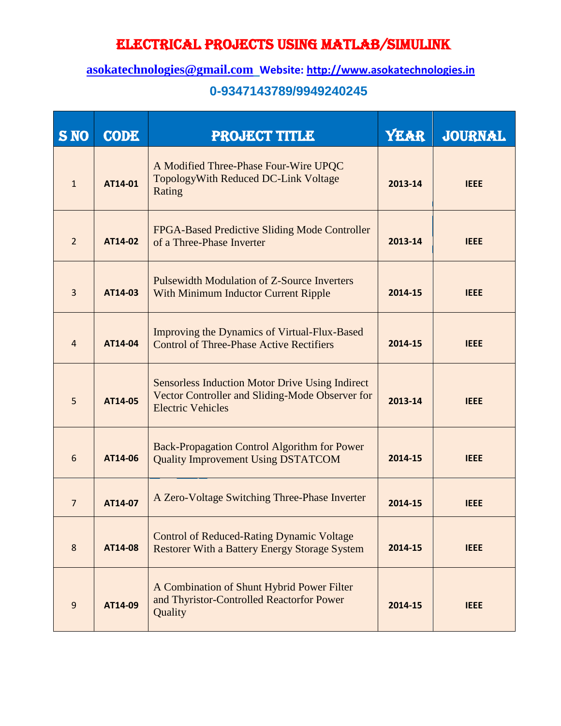### **[asokatechnologies@gmail.com](mailto:asokatechnologies@gmail.com) Website: [http://www.asokatechnologies.in](http://www.asokatechnologies.in/)**

| <b>S NO</b>    | <b>CODE</b> | <b>PROJECT TITLE</b>                                                                                                                  | <b>YEAR</b> | <b>JOURNAL</b> |
|----------------|-------------|---------------------------------------------------------------------------------------------------------------------------------------|-------------|----------------|
| $\mathbf{1}$   | AT14-01     | A Modified Three-Phase Four-Wire UPQC<br>TopologyWith Reduced DC-Link Voltage<br>Rating                                               | 2013-14     | <b>IEEE</b>    |
| $\overline{2}$ | AT14-02     | FPGA-Based Predictive Sliding Mode Controller<br>of a Three-Phase Inverter                                                            | 2013-14     | <b>IEEE</b>    |
| $\overline{3}$ | AT14-03     | <b>Pulsewidth Modulation of Z-Source Inverters</b><br><b>With Minimum Inductor Current Ripple</b>                                     | 2014-15     | <b>IEEE</b>    |
| $\overline{4}$ | AT14-04     | Improving the Dynamics of Virtual-Flux-Based<br><b>Control of Three-Phase Active Rectifiers</b>                                       | 2014-15     | <b>IEEE</b>    |
| 5              | AT14-05     | <b>Sensorless Induction Motor Drive Using Indirect</b><br>Vector Controller and Sliding-Mode Observer for<br><b>Electric Vehicles</b> | 2013-14     | <b>IEEE</b>    |
| 6              | AT14-06     | <b>Back-Propagation Control Algorithm for Power</b><br><b>Quality Improvement Using DSTATCOM</b>                                      | 2014-15     | <b>IEEE</b>    |
| $\overline{7}$ | AT14-07     | A Zero-Voltage Switching Three-Phase Inverter                                                                                         | 2014-15     | <b>IEEE</b>    |
| 8              | AT14-08     | <b>Control of Reduced-Rating Dynamic Voltage</b><br><b>Restorer With a Battery Energy Storage System</b>                              | 2014-15     | <b>IEEE</b>    |
| $\overline{9}$ | AT14-09     | A Combination of Shunt Hybrid Power Filter<br>and Thyristor-Controlled Reactorfor Power<br>Quality                                    | 2014-15     | <b>IEEE</b>    |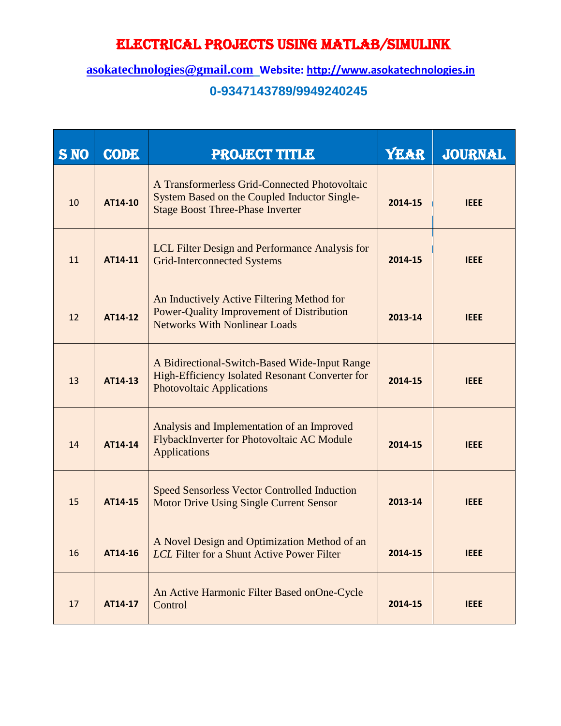| <b>S NO</b> | <b>CODE</b> | <b>PROJECT TITLE</b>                                                                                                                     | <b>YEAR</b> | <b>JOURNAL</b> |
|-------------|-------------|------------------------------------------------------------------------------------------------------------------------------------------|-------------|----------------|
| 10          | AT14-10     | A Transformerless Grid-Connected Photovoltaic<br>System Based on the Coupled Inductor Single-<br><b>Stage Boost Three-Phase Inverter</b> | 2014-15     | <b>IEEE</b>    |
| 11          | AT14-11     | LCL Filter Design and Performance Analysis for<br><b>Grid-Interconnected Systems</b>                                                     | 2014-15     | <b>IEEE</b>    |
| 12          | AT14-12     | An Inductively Active Filtering Method for<br><b>Power-Quality Improvement of Distribution</b><br><b>Networks With Nonlinear Loads</b>   | 2013-14     | <b>IEEE</b>    |
| 13          | AT14-13     | A Bidirectional-Switch-Based Wide-Input Range<br>High-Efficiency Isolated Resonant Converter for<br><b>Photovoltaic Applications</b>     | 2014-15     | <b>IEEE</b>    |
| 14          | AT14-14     | Analysis and Implementation of an Improved<br>FlybackInverter for Photovoltaic AC Module<br><b>Applications</b>                          | 2014-15     | <b>IEEE</b>    |
| 15          | AT14-15     | <b>Speed Sensorless Vector Controlled Induction</b><br><b>Motor Drive Using Single Current Sensor</b>                                    | 2013-14     | <b>IEEE</b>    |
| 16          | AT14-16     | A Novel Design and Optimization Method of an<br>LCL Filter for a Shunt Active Power Filter                                               | 2014-15     | <b>IEEE</b>    |
| 17          | AT14-17     | An Active Harmonic Filter Based onOne-Cycle<br>Control                                                                                   | 2014-15     | <b>IEEE</b>    |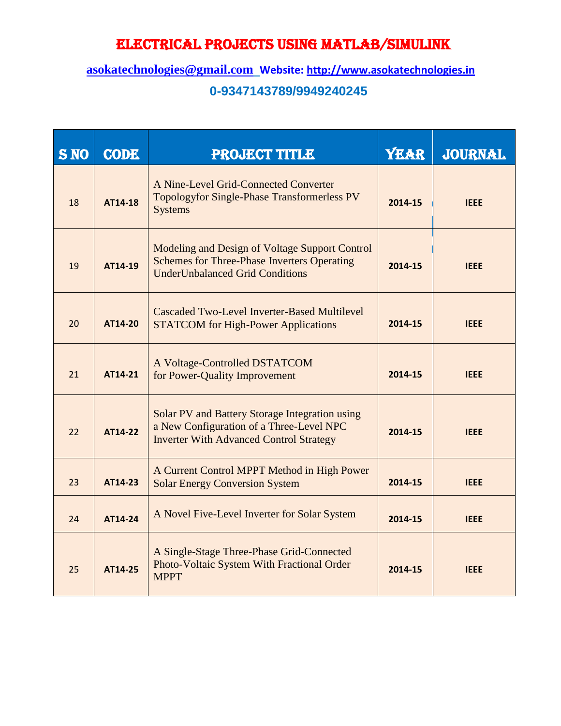| <b>S NO</b> | <b>CODE</b> | <b>PROJECT TITLE</b>                                                                                                                           | <b>YEAR</b> | <b>JOURNAL</b> |
|-------------|-------------|------------------------------------------------------------------------------------------------------------------------------------------------|-------------|----------------|
| 18          | AT14-18     | A Nine-Level Grid-Connected Converter<br><b>Topologyfor Single-Phase Transformerless PV</b><br><b>Systems</b>                                  | 2014-15     | <b>IEEE</b>    |
| 19          | AT14-19     | Modeling and Design of Voltage Support Control<br><b>Schemes for Three-Phase Inverters Operating</b><br><b>UnderUnbalanced Grid Conditions</b> | 2014-15     | <b>IEEE</b>    |
| 20          | AT14-20     | Cascaded Two-Level Inverter-Based Multilevel<br><b>STATCOM</b> for High-Power Applications                                                     | 2014-15     | <b>IEEE</b>    |
| 21          | AT14-21     | A Voltage-Controlled DSTATCOM<br>for Power-Quality Improvement                                                                                 | 2014-15     | <b>IEEE</b>    |
| 22          | AT14-22     | Solar PV and Battery Storage Integration using<br>a New Configuration of a Three-Level NPC<br><b>Inverter With Advanced Control Strategy</b>   | 2014-15     | <b>IEEE</b>    |
| 23          | AT14-23     | A Current Control MPPT Method in High Power<br><b>Solar Energy Conversion System</b>                                                           | 2014-15     | <b>IEEE</b>    |
| 24          | AT14-24     | A Novel Five-Level Inverter for Solar System                                                                                                   | 2014-15     | <b>IEEE</b>    |
| 25          | AT14-25     | A Single-Stage Three-Phase Grid-Connected<br>Photo-Voltaic System With Fractional Order<br><b>MPPT</b>                                         | 2014-15     | <b>IEEE</b>    |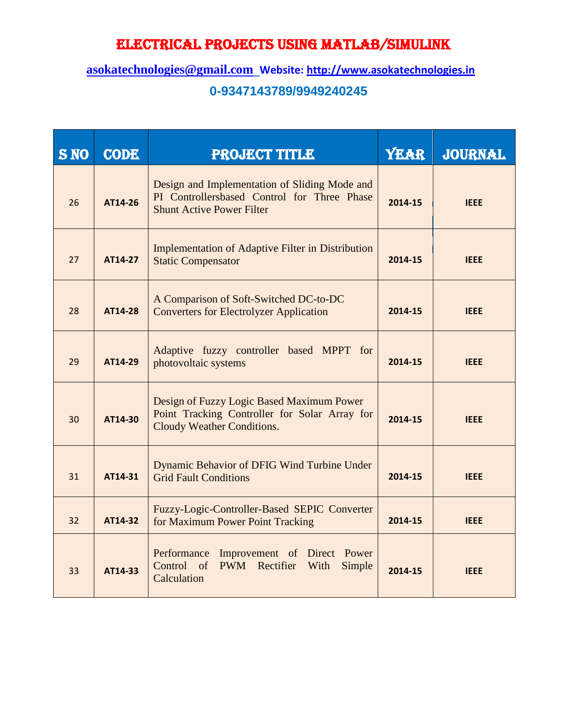| <b>S NO</b> | <b>CODE</b> | <b>PROJECT TITLE</b>                                                                                                             | <b>YEAR</b> | <b>JOURNAL</b> |
|-------------|-------------|----------------------------------------------------------------------------------------------------------------------------------|-------------|----------------|
| 26          | AT14-26     | Design and Implementation of Sliding Mode and<br>PI Controllersbased Control for Three Phase<br><b>Shunt Active Power Filter</b> | 2014-15     | <b>IEEE</b>    |
| 27          | AT14-27     | <b>Implementation of Adaptive Filter in Distribution</b><br><b>Static Compensator</b>                                            | 2014-15     | <b>IEEE</b>    |
| 28          | AT14-28     | A Comparison of Soft-Switched DC-to-DC<br><b>Converters for Electrolyzer Application</b>                                         | 2014-15     | <b>IEEE</b>    |
| 29          | AT14-29     | Adaptive fuzzy controller based MPPT for<br>photovoltaic systems                                                                 | 2014-15     | <b>IEEE</b>    |
| 30          | AT14-30     | Design of Fuzzy Logic Based Maximum Power<br>Point Tracking Controller for Solar Array for<br>Cloudy Weather Conditions.         | 2014-15     | <b>IEEE</b>    |
| 31          | AT14-31     | Dynamic Behavior of DFIG Wind Turbine Under<br><b>Grid Fault Conditions</b>                                                      | 2014-15     | <b>IEEE</b>    |
| 32          | AT14-32     | Fuzzy-Logic-Controller-Based SEPIC Converter<br>for Maximum Power Point Tracking                                                 | 2014-15     | <b>IEEE</b>    |
| 33          | AT14-33     | Performance<br>Improvement of Direct Power<br>Control of<br>PWM Rectifier<br>Simple<br>With<br>Calculation                       | 2014-15     | <b>IEEE</b>    |